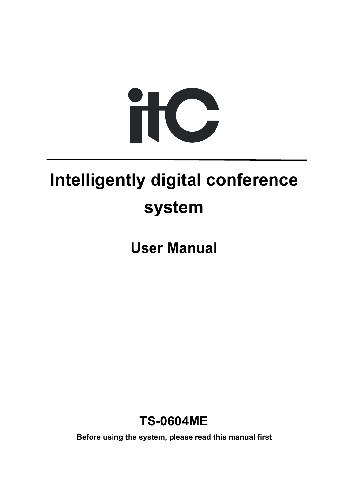

# **Intelligently digital conference system**

**User Manual**



**Before using the system, please read this manual first**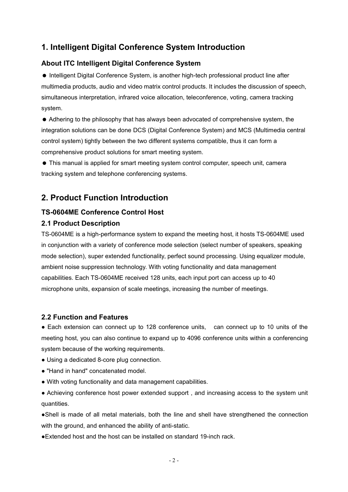#### **1. Intelligent Digital Conference System Introduction**

#### **About ITC Intelligent Digital Conference System**

 Intelligent Digital Conference System, is another high-tech professional product line after multimedia products, audio and video matrix control products. It includes the discussion of speech, simultaneous interpretation, infrared voice allocation, teleconference, voting, camera tracking system.

 Adhering to the philosophy that has always been advocated of comprehensive system, the integration solutions can be done DCS (Digital Conference System) and MCS (Multimedia central control system) tightly between the two different systems compatible, thus it can form a comprehensive product solutions for smart meeting system.

 This manual is applied for smart meeting system control computer, speech unit, camera tracking system and telephone conferencing systems.

#### **2. Product Function Introduction**

#### **TS-0604ME Conference Control Host**

#### **2.1 Product Description**

TS-0604ME is a high-performance system to expand the meeting host, it hosts TS-0604ME used in conjunction with a variety of conference mode selection (select number of speakers, speaking mode selection), super extended functionality, perfect sound processing. Using equalizer module, ambient noise suppression technology. With voting functionality and data management capabilities. Each TS-0604ME received 128 units, each input port can access up to 40 microphone units, expansion of scale meetings, increasing the number of meetings.

#### **2.2 Function and Features**

• Each extension can connect up to 128 conference units, can connect up to 10 units of the meeting host, you can also continue to expand up to 4096 conference units within a conferencing system because of the working requirements.

- Using a dedicated 8-core plug connection.
- "Hand in hand" concatenated model.
- With voting functionality and data management capabilities.

● Achieving conference host power extended support , and increasing access to the system unit quantities.

•Shell is made of all metal materials, both the line and shell have strengthened the connection with the ground, and enhanced the ability of anti-static.

●Extended host and the host can be installed on standard 19-inch rack.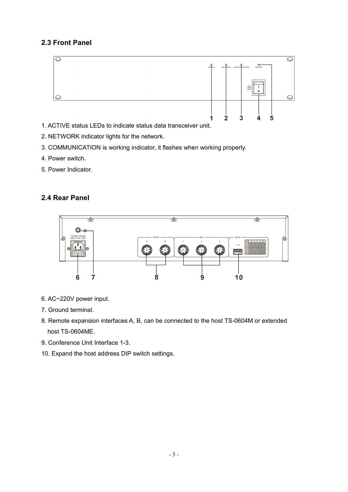#### **2.3 Front Panel**



- 1. ACTIVE status LEDs to indicate status data transceiver unit.
- 2. NETWORK indicator lights for the network.
- 3. COMMUNICATION is working indicator, it flashes when working properly.
- 4. Power switch.
- 5. Power Indicator.

#### **2.4 Rear Panel**



- 6. AC~220V power input.
- 7. Ground terminal.
- 8. Remote expansion interfaces A, B, can be connected to the host TS-0604M or extended host TS-0604ME.
- 9. Conference Unit Interface 1-3.
- 10. Expand the host address DIP switch settings.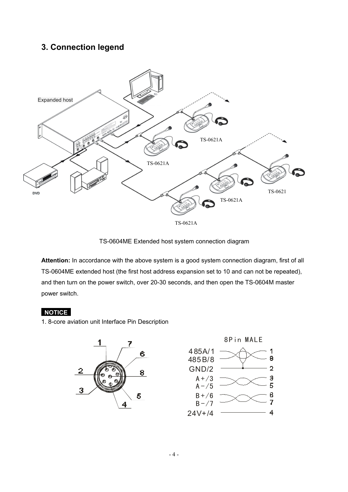#### **3. Connection legend**



TS-0604ME Extended host system connection diagram

**Attention:** In accordance with the above system is a good system connection diagram, first of all TS-0604ME extended host (the first host address expansion set to 10 and can not be repeated), and then turn on the power switch, over 20-30 seconds, and then open the TS-0604M master power switch.

#### **NOTICE**

1. 8-core aviation unit Interface Pin Description



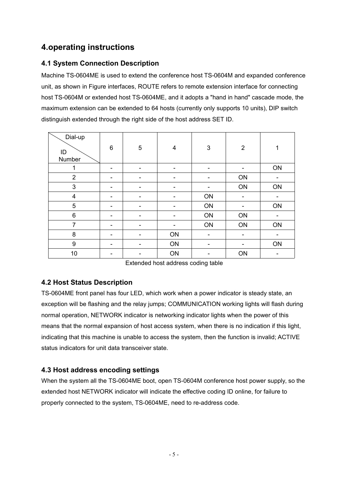#### **4.operating instructions**

#### **4.1 System Connection Description**

Machine TS-0604ME is used to extend the conference host TS-0604M and expanded conference unit, as shown in Figure interfaces, ROUTE refers to remote extension interface for connecting host TS-0604M or extended host TS-0604ME, and it adopts a "hand in hand" cascade mode, the maximum extension can be extended to 64 hosts (currently only supports 10 units), DIP switch distinguish extended through the right side of the host address SET ID.

| Dial-up<br>$\sf ID$<br>Number | $\,6$                    | $5\phantom{.0}$          | $\overline{\mathbf{4}}$  | $\mathbf{3}$             | $\overline{2}$           | 1                        |
|-------------------------------|--------------------------|--------------------------|--------------------------|--------------------------|--------------------------|--------------------------|
|                               | $\blacksquare$           | $\overline{\phantom{a}}$ | $\overline{\phantom{0}}$ | $\overline{\phantom{a}}$ | -                        | ON                       |
| $\overline{2}$                | $\blacksquare$           | $\overline{\phantom{a}}$ | $\blacksquare$           | $\blacksquare$           | ON                       | -                        |
| $\sqrt{3}$                    | $\blacksquare$           | $\overline{\phantom{0}}$ | $\overline{\phantom{a}}$ | $\overline{\phantom{0}}$ | ON                       | ON                       |
| 4                             | $\overline{\phantom{a}}$ | $\overline{\phantom{a}}$ | $\blacksquare$           | ON                       | $\blacksquare$           | $\overline{\phantom{a}}$ |
| $\sqrt{5}$                    | $\blacksquare$           | $\overline{\phantom{a}}$ | $\blacksquare$           | ON                       | -                        | ON                       |
| $6\phantom{1}$                | $\blacksquare$           | $\overline{\phantom{a}}$ | $\overline{\phantom{0}}$ | ON                       | ON                       | -                        |
| $\overline{7}$                | $\overline{\phantom{a}}$ | $\overline{\phantom{a}}$ | $\blacksquare$           | ON                       | ON                       | ON                       |
| $\bf 8$                       | $\overline{\phantom{a}}$ | $\overline{\phantom{a}}$ | ON                       | $\blacksquare$           | -                        |                          |
| $\boldsymbol{9}$              | $\overline{\phantom{a}}$ | $\overline{\phantom{a}}$ | ON                       | $\blacksquare$           | $\overline{\phantom{a}}$ | ON                       |
| $10$                          | $\overline{\phantom{a}}$ | $\blacksquare$           | ON                       | $\blacksquare$           | ON                       | $\overline{\phantom{a}}$ |

Extended host address coding table

#### **4.2 Host Status Description**

TS-0604ME front panel has four LED, which work when a power indicator is steady state, an exception will be flashing and the relay jumps; COMMUNICATION working lights will flash during normal operation, NETWORK indicator is networking indicator lights when the power of this means that the normal expansion of host access system, when there is no indication if this light, indicating that this machine is unable to access the system, then the function is invalid; ACTIVE status indicators for unit data transceiver state.

#### **4.3 Host address encoding settings**

When the system all the TS-0604ME boot, open TS-0604M conference host power supply, so the extended host NETWORK indicator will indicate the effective coding ID online, for failure to properly connected to the system, TS-0604ME, need to re-address code.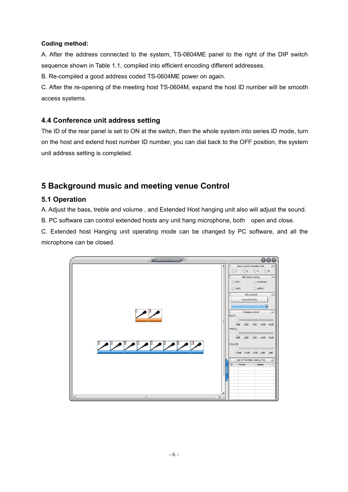#### **Coding method:**

A. After the address connected to the system, TS-0604ME panel to the right of the DIP switch sequence shown in Table 1.1, compiled into efficient encoding different addresses.

B. Re-compiled a good address coded TS-0604ME power on again.

C. After the re-opening of the meeting host TS-0604M, expand the host ID number will be smooth access systems.

#### **4.4 Conference unit address setting**

The ID of the rear panel is set to ON at the switch, then the whole system into series ID mode, turn on the host and extend host number ID number, you can dial back to the OFF position, the system unit address setting is completed.

#### **5 Background music and meeting venue Control**

#### **5.1 Operation**

A. Adjust the bass, treble and volume , and Extended Host hanging unit also will adjust the sound.

B. PC software can control extended hosts any unit hang microphone, both open and close.

C. Extended host Hanging unit operating mode can be changed by PC software, and all the microphone can be closed.

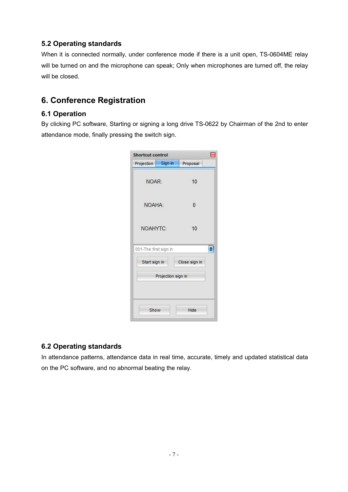#### **5.2 Operating standards**

When it is connected normally, under conference mode if there is a unit open, TS-0604ME relay will be turned on and the microphone can speak; Only when microphones are turned off, the relay will be closed.

#### **6. Conference Registration**

#### **6.1 Operation**

By clicking PC software, Starting or signing a long drive TS-0622 by Chairman of the 2nd to enter attendance mode, finally pressing the switch sign.

| Proposal      |                    |
|---------------|--------------------|
| 10            |                    |
| 0             |                    |
| 10            |                    |
|               | ÷                  |
| Close sign in |                    |
|               |                    |
| Hide          |                    |
|               | Projection sign in |

#### **6.2 Operating standards**

In attendance patterns, attendance data in real time, accurate, timely and updated statistical data on the PC software, and no abnormal beating the relay.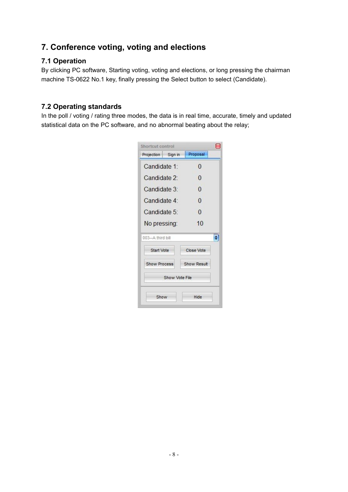#### **7. Conference voting, voting and elections**

#### **7.1 Operation**

By clicking PC software, Starting voting, voting and elections, or long pressing the chairman machine TS-0622 No.1 key, finally pressing the Select button to select (Candidate).

#### **7.2 Operating standards**

In the poll / voting / rating three modes, the data is in real time, accurate, timely and updated statistical data on the PC software, and no abnormal beating about the relay;

| Proposal<br>O |                                             |
|---------------|---------------------------------------------|
|               |                                             |
|               |                                             |
| $\Omega$      |                                             |
| 0             |                                             |
| $\Omega$      |                                             |
| O             |                                             |
| 10            |                                             |
|               | ÷                                           |
|               |                                             |
|               |                                             |
|               |                                             |
| Hide          |                                             |
|               | Close Vote<br>Show Result<br>Show Vote File |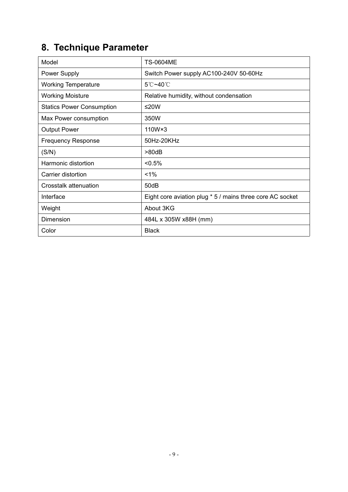### **8. Technique Parameter**

| Model                            | <b>TS-0604ME</b>                                          |  |  |  |
|----------------------------------|-----------------------------------------------------------|--|--|--|
| <b>Power Supply</b>              | Switch Power supply AC100-240V 50-60Hz                    |  |  |  |
| <b>Working Temperature</b>       | $5^{\circ}$ C~40 $^{\circ}$ C                             |  |  |  |
| <b>Working Moisture</b>          | Relative humidity, without condensation                   |  |  |  |
| <b>Statics Power Consumption</b> | $≤20W$                                                    |  |  |  |
| Max Power consumption            | 350W                                                      |  |  |  |
| <b>Output Power</b>              | $110W \times 3$                                           |  |  |  |
| <b>Frequency Response</b>        | 50Hz-20KHz                                                |  |  |  |
| (S/N)                            | >80dB                                                     |  |  |  |
| Harmonic distortion              | $< 0.5\%$                                                 |  |  |  |
| Carrier distortion               | $1\%$                                                     |  |  |  |
| Crosstalk attenuation            | 50dB                                                      |  |  |  |
| Interface                        | Eight core aviation plug * 5 / mains three core AC socket |  |  |  |
| Weight                           | About 3KG                                                 |  |  |  |
| Dimension                        | 484L x 305W x88H (mm)                                     |  |  |  |
| Color                            | <b>Black</b>                                              |  |  |  |